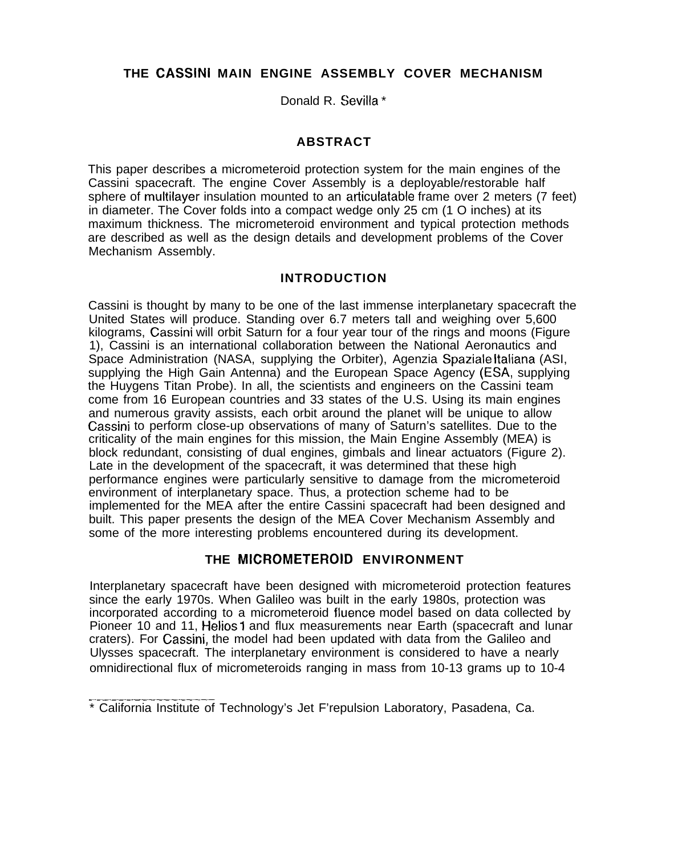# **THE CASSINI MAIN ENGINE ASSEMBLY COVER MECHANISM**

Donald R. Sevilla \*

# **ABSTRACT**

This paper describes a micrometeroid protection system for the main engines of the Cassini spacecraft. The engine Cover Assembly is a deployable/restorable half sphere of multilayer insulation mounted to an articulatable frame over 2 meters (7 feet) in diameter. The Cover folds into a compact wedge only 25 cm (1 O inches) at its maximum thickness. The micrometeroid environment and typical protection methods are described as well as the design details and development problems of the Cover Mechanism Assembly.

#### **INTRODUCTION**

Cassini is thought by many to be one of the last immense interplanetary spacecraft the United States will produce. Standing over 6.7 meters tall and weighing over 5,600 kilograms, Cassini will orbit Saturn for a four year tour of the rings and moons (Figure 1), Cassini is an international collaboration between the National Aeronautics and Space Administration (NASA, supplying the Orbiter), Agenzia Spaziale Italiana (ASI, supplying the High Gain Antenna) and the European Space Agency (ESA, supplying the Huygens Titan Probe). In all, the scientists and engineers on the Cassini team come from 16 European countries and 33 states of the U.S. Using its main engines and numerous gravity assists, each orbit around the planet will be unique to allow Cassini to perform close-up observations of many of Saturn's satellites. Due to the criticality of the main engines for this mission, the Main Engine Assembly (MEA) is block redundant, consisting of dual engines, gimbals and linear actuators (Figure 2). Late in the development of the spacecraft, it was determined that these high performance engines were particularly sensitive to damage from the micrometeroid environment of interplanetary space. Thus, a protection scheme had to be implemented for the MEA after the entire Cassini spacecraft had been designed and built. This paper presents the design of the MEA Cover Mechanism Assembly and some of the more interesting problems encountered during its development.

# **THE MICROMETEROID ENVIRONMENT**

Interplanetary spacecraft have been designed with micrometeroid protection features since the early 1970s. When Galileo was built in the early 1980s, protection was incorporated according to a micrometeroid fluence model based on data collected by Pioneer 10 and 11, Helios 1 and flux measurements near Earth (spacecraft and lunar craters). For Cassini, the model had been updated with data from the Galileo and Ulysses spacecraft. The interplanetary environment is considered to have a nearly omnidirectional flux of micrometeroids ranging in mass from 10-13 grams up to 10-4

<sup>——————.——--———.——.——</sup> \* California Institute of Technology's Jet F'repulsion Laboratory, Pasadena, Ca.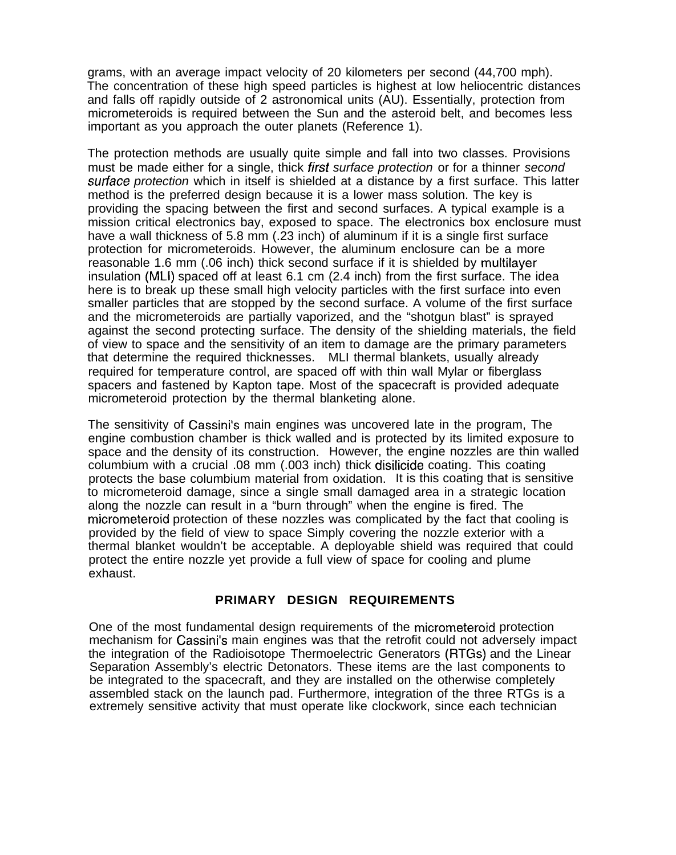grams, with an average impact velocity of 20 kilometers per second (44,700 mph). The concentration of these high speed particles is highest at low heliocentric distances and falls off rapidly outside of 2 astronomical units (AU). Essentially, protection from micrometeroids is required between the Sun and the asteroid belt, and becomes less important as you approach the outer planets (Reference 1).

The protection methods are usually quite simple and fall into two classes. Provisions must be made either for a single, thick first surface protection or for a thinner second surface protection which in itself is shielded at a distance by a first surface. This latter method is the preferred design because it is a lower mass solution. The key is providing the spacing between the first and second surfaces. A typical example is a mission critical electronics bay, exposed to space. The electronics box enclosure must have a wall thickness of 5.8 mm (.23 inch) of aluminum if it is a single first surface protection for micrometeroids. However, the aluminum enclosure can be a more reasonable 1.6 mm (.06 inch) thick second surface if it is shielded by multilayer insulation (MLI) spaced off at least 6.1 cm (2.4 inch) from the first surface. The idea here is to break up these small high velocity particles with the first surface into even smaller particles that are stopped by the second surface. A volume of the first surface and the micrometeroids are partially vaporized, and the "shotgun blast" is sprayed against the second protecting surface. The density of the shielding materials, the field of view to space and the sensitivity of an item to damage are the primary parameters that determine the required thicknesses. MLI thermal blankets, usually already required for temperature control, are spaced off with thin wall Mylar or fiberglass spacers and fastened by Kapton tape. Most of the spacecraft is provided adequate micrometeroid protection by the thermal blanketing alone.

The sensitivity of Cassini's main engines was uncovered late in the program, The engine combustion chamber is thick walled and is protected by its limited exposure to space and the density of its construction. However, the engine nozzles are thin walled columbium with a crucial .08 mm (.003 inch) thick disilicide coating. This coating protects the base columbium material from oxidation. It is this coating that is sensitive to micrometeroid damage, since a single small damaged area in a strategic location along the nozzle can result in a "burn through" when the engine is fired. The micrometeroid protection of these nozzles was complicated by the fact that cooling is provided by the field of view to space Simply covering the nozzle exterior with a thermal blanket wouldn't be acceptable. A deployable shield was required that could protect the entire nozzle yet provide a full view of space for cooling and plume exhaust.

# **PRIMARY DESIGN REQUIREMENTS**

One of the most fundamental design requirements of the micrometeroid protection mechanism for Cassini's main engines was that the retrofit could not adversely impact the integration of the Radioisotope Thermoelectric Generators (RTGs) and the Linear Separation Assembly's electric Detonators. These items are the last components to be integrated to the spacecraft, and they are installed on the otherwise completely assembled stack on the launch pad. Furthermore, integration of the three RTGs is a extremely sensitive activity that must operate like clockwork, since each technician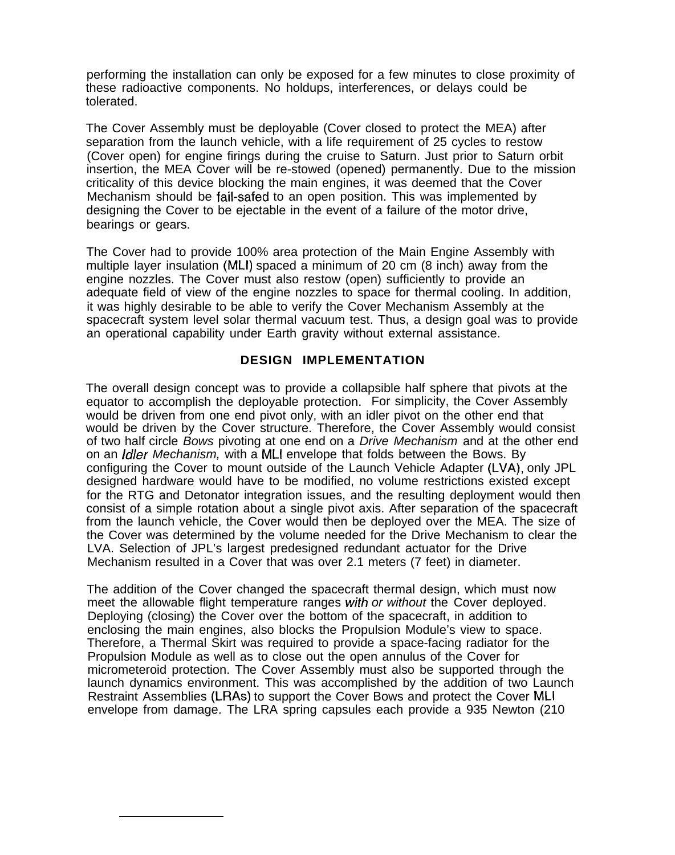performing the installation can only be exposed for a few minutes to close proximity of these radioactive components. No holdups, interferences, or delays could be tolerated.

The Cover Assembly must be deployable (Cover closed to protect the MEA) after separation from the launch vehicle, with a life requirement of 25 cycles to restow (Cover open) for engine firings during the cruise to Saturn. Just prior to Saturn orbit insertion, the MEA Cover will be re-stowed (opened) permanently. Due to the mission criticality of this device blocking the main engines, it was deemed that the Cover Mechanism should be fail-safed to an open position. This was implemented by designing the Cover to be ejectable in the event of a failure of the motor drive, bearings or gears.

The Cover had to provide 100% area protection of the Main Engine Assembly with multiple layer insulation (MLI) spaced a minimum of 20 cm (8 inch) away from the engine nozzles. The Cover must also restow (open) sufficiently to provide an adequate field of view of the engine nozzles to space for thermal cooling. In addition, it was highly desirable to be able to verify the Cover Mechanism Assembly at the spacecraft system level solar thermal vacuum test. Thus, a design goal was to provide an operational capability under Earth gravity without external assistance.

#### **DESIGN IMPLEMENTATION**

The overall design concept was to provide a collapsible half sphere that pivots at the equator to accomplish the deployable protection. For simplicity, the Cover Assembly would be driven from one end pivot only, with an idler pivot on the other end that would be driven by the Cover structure. Therefore, the Cover Assembly would consist of two half circle Bows pivoting at one end on a Drive Mechanism and at the other end on an *Idler Mechanism*, with a MLI envelope that folds between the Bows. By configuring the Cover to mount outside of the Launch Vehicle Adapter (LVA), only JPL designed hardware would have to be modified, no volume restrictions existed except for the RTG and Detonator integration issues, and the resulting deployment would then consist of a simple rotation about a single pivot axis. After separation of the spacecraft from the launch vehicle, the Cover would then be deployed over the MEA. The size of the Cover was determined by the volume needed for the Drive Mechanism to clear the LVA. Selection of JPL's largest predesigned redundant actuator for the Drive Mechanism resulted in a Cover that was over 2.1 meters (7 feet) in diameter.

The addition of the Cover changed the spacecraft thermal design, which must now meet the allowable flight temperature ranges with or without the Cover deployed. Deploying (closing) the Cover over the bottom of the spacecraft, in addition to enclosing the main engines, also blocks the Propulsion Module's view to space. Therefore, a Thermal Skirt was required to provide a space-facing radiator for the Propulsion Module as well as to close out the open annulus of the Cover for micrometeroid protection. The Cover Assembly must also be supported through the launch dynamics environment. This was accomplished by the addition of two Launch Restraint Assemblies (LRAs) to support the Cover Bows and protect the Cover MLI envelope from damage. The LRA spring capsules each provide a 935 Newton (210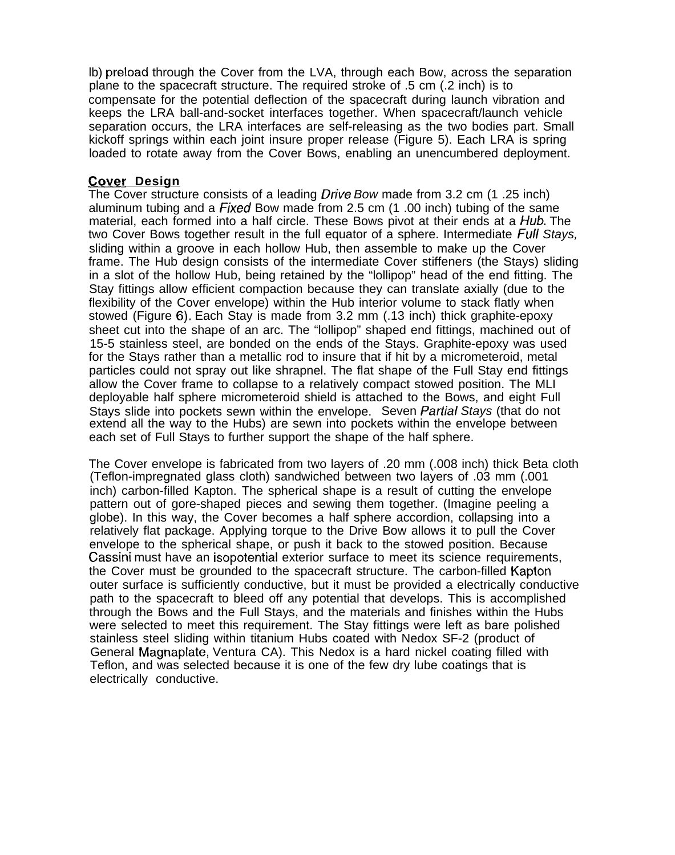lb) preload through the Cover from the LVA, through each Bow, across the separation plane to the spacecraft structure. The required stroke of .5 cm (.2 inch) is to compensate for the potential deflection of the spacecraft during launch vibration and keeps the LRA ball-and-socket interfaces together. When spacecraft/launch vehicle separation occurs, the LRA interfaces are self-releasing as the two bodies part. Small kickoff springs within each joint insure proper release (Figure 5). Each LRA is spring loaded to rotate away from the Cover Bows, enabling an unencumbered deployment.

#### **Gover Design**

The Cover structure consists of a leading *Drive Bow* made from 3.2 cm (1 .25 inch) aluminum tubing and a Fixed Bow made from 2.5 cm (1 .00 inch) tubing of the same material, each formed into a half circle. These Bows pivot at their ends at a Hub. The two Cover Bows together result in the full equator of a sphere. Intermediate Full Stays, sliding within a groove in each hollow Hub, then assemble to make up the Cover frame. The Hub design consists of the intermediate Cover stiffeners (the Stays) sliding in a slot of the hollow Hub, being retained by the "lollipop" head of the end fitting. The Stay fittings allow efficient compaction because they can translate axially (due to the flexibility of the Cover envelope) within the Hub interior volume to stack flatly when stowed (Figure 6), Each Stay is made from 3.2 mm (.13 inch) thick graphite-epoxy sheet cut into the shape of an arc. The "lollipop" shaped end fittings, machined out of 15-5 stainless steel, are bonded on the ends of the Stays. Graphite-epoxy was used for the Stays rather than a metallic rod to insure that if hit by a micrometeroid, metal particles could not spray out like shrapnel. The flat shape of the Full Stay end fittings allow the Cover frame to collapse to a relatively compact stowed position. The MLI deployable half sphere micrometeroid shield is attached to the Bows, and eight Full Stays slide into pockets sewn within the envelope. Seven Partial Stays (that do not extend all the way to the Hubs) are sewn into pockets within the envelope between each set of Full Stays to further support the shape of the half sphere.

The Cover envelope is fabricated from two layers of .20 mm (.008 inch) thick Beta cloth (Teflon-impregnated glass cloth) sandwiched between two layers of .03 mm (.001 inch) carbon-filled Kapton. The spherical shape is a result of cutting the envelope pattern out of gore-shaped pieces and sewing them together. (Imagine peeling a globe). In this way, the Cover becomes a half sphere accordion, collapsing into a relatively flat package. Applying torque to the Drive Bow allows it to pull the Cover envelope to the spherical shape, or push it back to the stowed position. Because Cassini must have an isopotential exterior surface to meet its science requirements, the Cover must be grounded to the spacecraft structure. The carbon-filled Kapton outer surface is sufficiently conductive, but it must be provided a electrically conductive path to the spacecraft to bleed off any potential that develops. This is accomplished through the Bows and the Full Stays, and the materials and finishes within the Hubs were selected to meet this requirement. The Stay fittings were left as bare polished stainless steel sliding within titanium Hubs coated with Nedox SF-2 (product of General Magnaplate, Ventura CA). This Nedox is a hard nickel coating filled with Teflon, and was selected because it is one of the few dry lube coatings that is electrically conductive.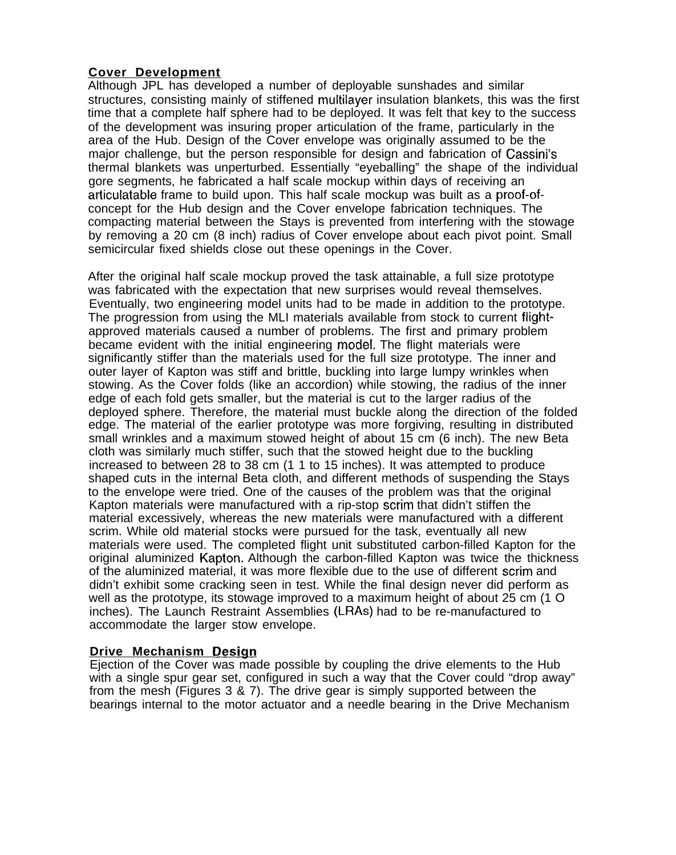# **Cover Development**

Although JPL has developed a number of deployable sunshades and similar structures, consisting mainly of stiffened multilayer insulation blankets, this was the first time that a complete half sphere had to be deployed. It was felt that key to the success of the development was insuring proper articulation of the frame, particularly in the area of the Hub. Design of the Cover envelope was originally assumed to be the major challenge, but the person responsible for design and fabrication of Cassini's thermal blankets was unperturbed. Essentially "eyeballing" the shape of the individual gore segments, he fabricated a half scale mockup within days of receiving an articulatable frame to build upon. This half scale mockup was built as a proof-ofconcept for the Hub design and the Cover envelope fabrication techniques. The compacting material between the Stays is prevented from interfering with the stowage by removing a 20 cm (8 inch) radius of Cover envelope about each pivot point. Small semicircular fixed shields close out these openings in the Cover.

After the original half scale mockup proved the task attainable, a full size prototype was fabricated with the expectation that new surprises would reveal themselves. Eventually, two engineering model units had to be made in addition to the prototype. The progression from using the MLI materials available from stock to current flightapproved materials caused a number of problems. The first and primary problem became evident with the initial engineering model, The flight materials were significantly stiffer than the materials used for the full size prototype. The inner and outer layer of Kapton was stiff and brittle, buckling into large lumpy wrinkles when stowing. As the Cover folds (like an accordion) while stowing, the radius of the inner edge of each fold gets smaller, but the material is cut to the larger radius of the deployed sphere. Therefore, the material must buckle along the direction of the folded edge. The material of the earlier prototype was more forgiving, resulting in distributed small wrinkles and a maximum stowed height of about 15 cm (6 inch). The new Beta cloth was similarly much stiffer, such that the stowed height due to the buckling increased to between 28 to 38 cm (1 1 to 15 inches). It was attempted to produce shaped cuts in the internal Beta cloth, and different methods of suspending the Stays to the envelope were tried. One of the causes of the problem was that the original Kapton materials were manufactured with a rip-stop scrim that didn't stiffen the material excessively, whereas the new materials were manufactured with a different scrim. While old material stocks were pursued for the task, eventually all new materials were used. The completed flight unit substituted carbon-filled Kapton for the original aluminized Kapton. Although the carbon-filled Kapton was twice the thickness of the aluminized material, it was more flexible due to the use of different scrim and didn't exhibit some cracking seen in test. While the final design never did perform as well as the prototype, its stowage improved to a maximum height of about 25 cm (1 O inches). The Launch Restraint Assemblies (LRAs) had to be re-manufactured to accommodate the larger stow envelope.

# **Drive Mechanism Design**

Ejection of the Cover was made possible by coupling the drive elements to the Hub with a single spur gear set, configured in such a way that the Cover could "drop away" from the mesh (Figures 3 & 7). The drive gear is simply supported between the bearings internal to the motor actuator and a needle bearing in the Drive Mechanism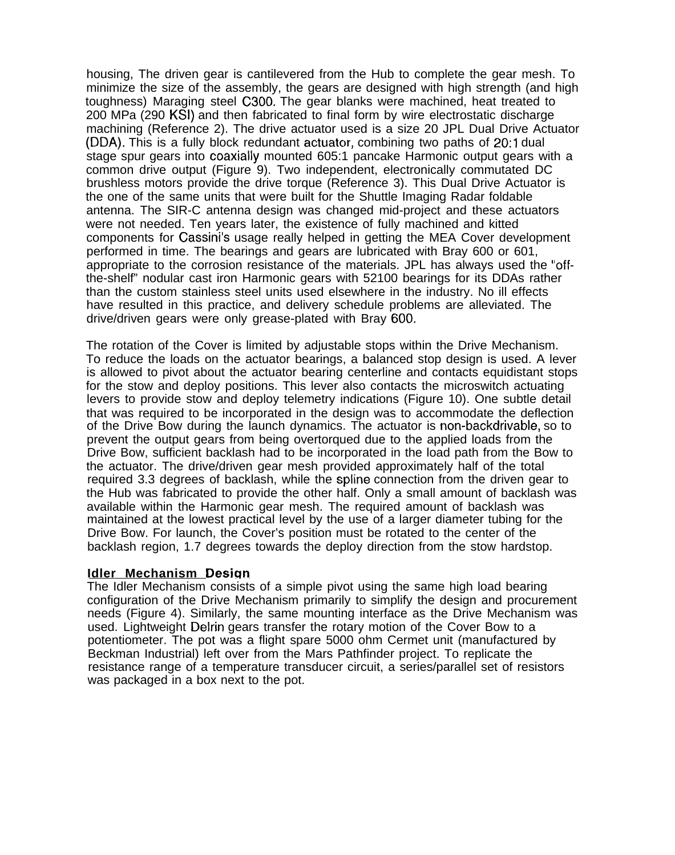housing, The driven gear is cantilevered from the Hub to complete the gear mesh. To minimize the size of the assembly, the gears are designed with high strength (and high toughness) Maraging steel C300. The gear blanks were machined, heat treated to 200 MPa (290 KSI) and then fabricated to final form by wire electrostatic discharge machining (Reference 2). The drive actuator used is a size 20 JPL Dual Drive Actuator (DDA). This is a fully block redundant actuator, combining two paths of 20:1 dual stage spur gears into coaxially mounted 605:1 pancake Harmonic output gears with a common drive output (Figure 9). Two independent, electronically commutated DC brushless motors provide the drive torque (Reference 3). This Dual Drive Actuator is the one of the same units that were built for the Shuttle Imaging Radar foldable antenna. The SIR-C antenna design was changed mid-project and these actuators were not needed. Ten years later, the existence of fully machined and kitted components for Cassini's usage really helped in getting the MEA Cover development performed in time. The bearings and gears are lubricated with Bray 600 or 601, appropriate to the corrosion resistance of the materials. JPL has always used the "offthe-shelf" nodular cast iron Harmonic gears with 52100 bearings for its DDAs rather than the custom stainless steel units used elsewhere in the industry. No ill effects have resulted in this practice, and delivery schedule problems are alleviated. The drive/driven gears were only grease-plated with Bray 600.

The rotation of the Cover is limited by adjustable stops within the Drive Mechanism. To reduce the loads on the actuator bearings, a balanced stop design is used. A lever is allowed to pivot about the actuator bearing centerline and contacts equidistant stops for the stow and deploy positions. This lever also contacts the microswitch actuating levers to provide stow and deploy telemetry indications (Figure 10). One subtle detail that was required to be incorporated in the design was to accommodate the deflection of the Drive Bow during the launch dynamics. The actuator is non-backdrivable, so to prevent the output gears from being overtorqued due to the applied loads from the Drive Bow, sufficient backlash had to be incorporated in the load path from the Bow to the actuator. The drive/driven gear mesh provided approximately half of the total required 3.3 degrees of backlash, while the spline connection from the driven gear to the Hub was fabricated to provide the other half. Only a small amount of backlash was available within the Harmonic gear mesh. The required amount of backlash was maintained at the lowest practical level by the use of a larger diameter tubing for the Drive Bow. For launch, the Cover's position must be rotated to the center of the backlash region, 1.7 degrees towards the deploy direction from the stow hardstop.

#### **Idler Mechanism Design**

The Idler Mechanism consists of a simple pivot using the same high load bearing configuration of the Drive Mechanism primarily to simplify the design and procurement needs (Figure 4). Similarly, the same mounting interface as the Drive Mechanism was used. Lightweight Delrin gears transfer the rotary motion of the Cover Bow to a potentiometer. The pot was a flight spare 5000 ohm Cermet unit (manufactured by Beckman Industrial) left over from the Mars Pathfinder project. To replicate the resistance range of a temperature transducer circuit, a series/parallel set of resistors was packaged in a box next to the pot.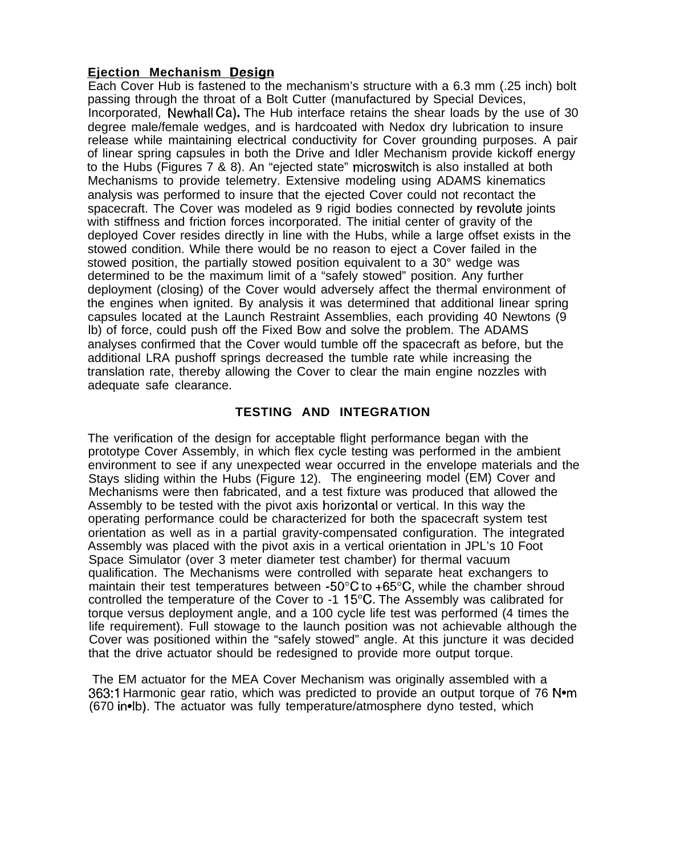# **Ejection Mechanism Design**

Each Cover Hub is fastened to the mechanism's structure with a 6.3 mm (.25 inch) bolt passing through the throat of a Bolt Cutter (manufactured by Special Devices, Incorporated, Newhall Ca). The Hub interface retains the shear loads by the use of 30 degree male/female wedges, and is hardcoated with Nedox dry lubrication to insure release while maintaining electrical conductivity for Cover grounding purposes. A pair of linear spring capsules in both the Drive and Idler Mechanism provide kickoff energy to the Hubs (Figures 7 & 8). An "ejected state" microswitch is also installed at both Mechanisms to provide telemetry. Extensive modeling using ADAMS kinematics analysis was performed to insure that the ejected Cover could not recontact the spacecraft. The Cover was modeled as 9 rigid bodies connected by revolute joints with stiffness and friction forces incorporated. The initial center of gravity of the deployed Cover resides directly in line with the Hubs, while a large offset exists in the stowed condition. While there would be no reason to eject a Cover failed in the stowed position, the partially stowed position equivalent to a 30° wedge was determined to be the maximum limit of a "safely stowed" position. Any further deployment (closing) of the Cover would adversely affect the thermal environment of the engines when ignited. By analysis it was determined that additional linear spring capsules located at the Launch Restraint Assemblies, each providing 40 Newtons (9 lb) of force, could push off the Fixed Bow and solve the problem. The ADAMS analyses confirmed that the Cover would tumble off the spacecraft as before, but the additional LRA pushoff springs decreased the tumble rate while increasing the translation rate, thereby allowing the Cover to clear the main engine nozzles with adequate safe clearance.

# **TESTING AND INTEGRATION**

The verification of the design for acceptable flight performance began with the prototype Cover Assembly, in which flex cycle testing was performed in the ambient environment to see if any unexpected wear occurred in the envelope materials and the Stays sliding within the Hubs (Figure 12). The engineering model (EM) Cover and Mechanisms were then fabricated, and a test fixture was produced that allowed the Assembly to be tested with the pivot axis horizontal or vertical. In this way the operating performance could be characterized for both the spacecraft system test orientation as well as in a partial gravity-compensated configuration. The integrated Assembly was placed with the pivot axis in a vertical orientation in JPL's 10 Foot Space Simulator (over 3 meter diameter test chamber) for thermal vacuum qualification. The Mechanisms were controlled with separate heat exchangers to maintain their test temperatures between  $-50^{\circ}$ C to  $+65^{\circ}$ C, while the chamber shroud controlled the temperature of the Cover to -1 15"C. The Assembly was calibrated for torque versus deployment angle, and a 100 cycle life test was performed (4 times the life requirement). Full stowage to the launch position was not achievable although the Cover was positioned within the "safely stowed" angle. At this juncture it was decided that the drive actuator should be redesigned to provide more output torque.

The EM actuator for the MEA Cover Mechanism was originally assembled with a 363:1 Harmonic gear ratio, which was predicted to provide an output torque of  $76$  N $\bullet$ m (670 in.Ib). The actuator was fully temperature/atmosphere dyno tested, which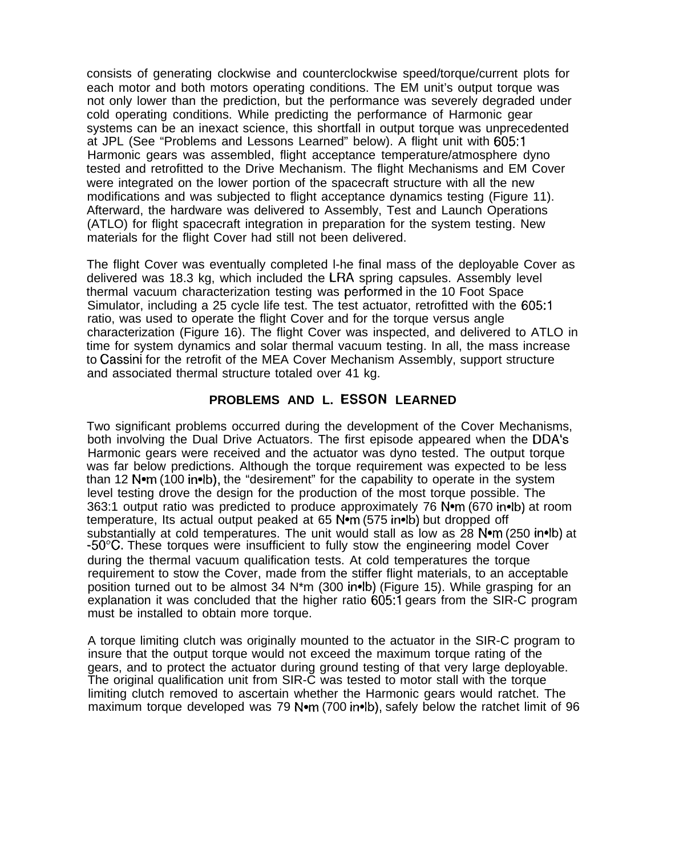consists of generating clockwise and counterclockwise speed/torque/current plots for each motor and both motors operating conditions. The EM unit's output torque was not only lower than the prediction, but the performance was severely degraded under cold operating conditions. While predicting the performance of Harmonic gear systems can be an inexact science, this shortfall in output torque was unprecedented at JPL (See "Problems and Lessons Learned" below). A flight unit with 605:1 Harmonic gears was assembled, flight acceptance temperature/atmosphere dyno tested and retrofitted to the Drive Mechanism. The flight Mechanisms and EM Cover were integrated on the lower portion of the spacecraft structure with all the new modifications and was subjected to flight acceptance dynamics testing (Figure 11). Afterward, the hardware was delivered to Assembly, Test and Launch Operations (ATLO) for flight spacecraft integration in preparation for the system testing. New materials for the flight Cover had still not been delivered.

The flight Cover was eventually completed l-he final mass of the deployable Cover as delivered was 18.3 kg, which included the LF{A spring capsules. Assembly level thermal vacuum characterization testing was petiormed in the 10 Foot Space Simulator, including a 25 cycle life test. The test actuator, retrofitted with the 605:1 ratio, was used to operate the flight Cover and for the torque versus angle characterization (Figure 16). The flight Cover was inspected, and delivered to ATLO in time for system dynamics and solar thermal vacuum testing. In all, the mass increase to Cassini for the retrofit of the MEA Cover Mechanism Assembly, support structure and associated thermal structure totaled over 41 kg.

# **PROBLEMS AND L. ESSON LEARNED**

Two significant problems occurred during the development of the Cover Mechanisms, both involving the Dual Drive Actuators. The first episode appeared when the DDA's Harmonic gears were received and the actuator was dyno tested. The output torque was far below predictions. Although the torque requirement was expected to be less than 12 Nom (100 inolb), the "desirement" for the capability to operate in the system level testing drove the design for the production of the most torque possible. The 363:1 output ratio was predicted to produce approximately 76 N•m (670 in•lb) at room temperature, Its actual output peaked at 65 Nom (575 in lb) but dropped off substantially at cold temperatures. The unit would stall as low as 28 N•m (250 in•lb) at  $-50^{\circ}$ C. These torques were insufficient to fully stow the engineering model Cover during the thermal vacuum qualification tests. At cold temperatures the torque requirement to stow the Cover, made from the stiffer flight materials, to an acceptable position turned out to be almost 34 N\*m (300 in4b) (Figure 15). While grasping for an explanation it was concluded that the higher ratio 605:1 gears from the SIR-C program must be installed to obtain more torque.

A torque limiting clutch was originally mounted to the actuator in the SIR-C program to insure that the output torque would not exceed the maximum torque rating of the gears, and to protect the actuator during ground testing of that very large deployable. The original qualification unit from SIR-C was tested to motor stall with the torque limiting clutch removed to ascertain whether the Harmonic gears would ratchet. The maximum torque developed was 79 N $\bullet$ m (700 in $\bullet$ lb), safely below the ratchet limit of 96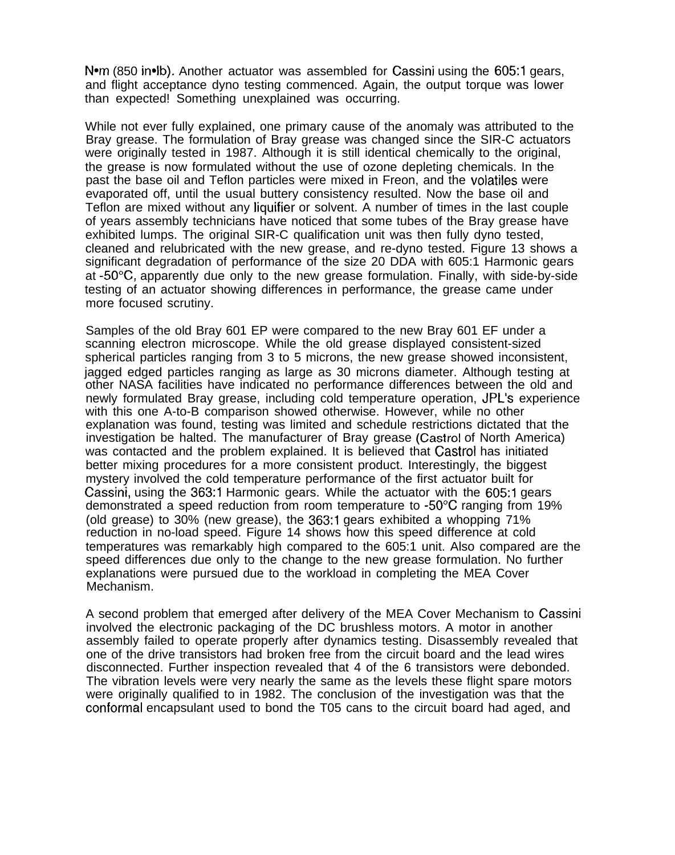N•m (850 in•lb). Another actuator was assembled for Cassini using the 605:1 gears, and flight acceptance dyno testing commenced. Again, the output torque was lower than expected! Something unexplained was occurring.

While not ever fully explained, one primary cause of the anomaly was attributed to the Bray grease. The formulation of Bray grease was changed since the SIR-C actuators were originally tested in 1987. Although it is still identical chemically to the original, the grease is now formulated without the use of ozone depleting chemicals. In the past the base oil and Teflon particles were mixed in Freon, and the volatiles were evaporated off, until the usual buttery consistency resulted. Now the base oil and Teflon are mixed without any Iiquifier or solvent. A number of times in the last couple of years assembly technicians have noticed that some tubes of the Bray grease have exhibited lumps. The original SIR-C qualification unit was then fully dyno tested, cleaned and relubricated with the new grease, and re-dyno tested. Figure 13 shows a significant degradation of performance of the size 20 DDA with 605:1 Harmonic gears at  $-50^{\circ}$ C, apparently due only to the new grease formulation. Finally, with side-by-side testing of an actuator showing differences in performance, the grease came under more focused scrutiny.

Samples of the old Bray 601 EP were compared to the new Bray 601 EF under a scanning electron microscope. While the old grease displayed consistent-sized spherical particles ranging from 3 to 5 microns, the new grease showed inconsistent, jagged edged particles ranging as large as 30 microns diameter. Although testing at other NASA facilities have indicated no performance differences between the old and newly formulated Bray grease, including cold temperature operation, JPL's experience with this one A-to-B comparison showed otherwise. However, while no other explanation was found, testing was limited and schedule restrictions dictated that the investigation be halted. The manufacturer of Bray grease (Castrol of North America) was contacted and the problem explained. It is believed that Castrol has initiated better mixing procedures for a more consistent product. Interestingly, the biggest mystery involved the cold temperature performance of the first actuator built for Cassini, using the 363:1 Harmonic gears. While the actuator with the 605:1 gears demonstrated a speed reduction from room temperature to -50°C ranging from 19% (old grease) to 30% (new grease), the 363:1 gears exhibited a whopping 71% reduction in no-load speed. Figure 14 shows how this speed difference at cold temperatures was remarkably high compared to the 605:1 unit. Also compared are the speed differences due only to the change to the new grease formulation. No further explanations were pursued due to the workload in completing the MEA Cover Mechanism.

A second problem that emerged after delivery of the MEA Cover Mechanism to Cassini involved the electronic packaging of the DC brushless motors. A motor in another assembly failed to operate properly after dynamics testing. Disassembly revealed that one of the drive transistors had broken free from the circuit board and the lead wires disconnected. Further inspection revealed that 4 of the 6 transistors were debonded. The vibration levels were very nearly the same as the levels these flight spare motors were originally qualified to in 1982. The conclusion of the investigation was that the conformal encapsulant used to bond the T05 cans to the circuit board had aged, and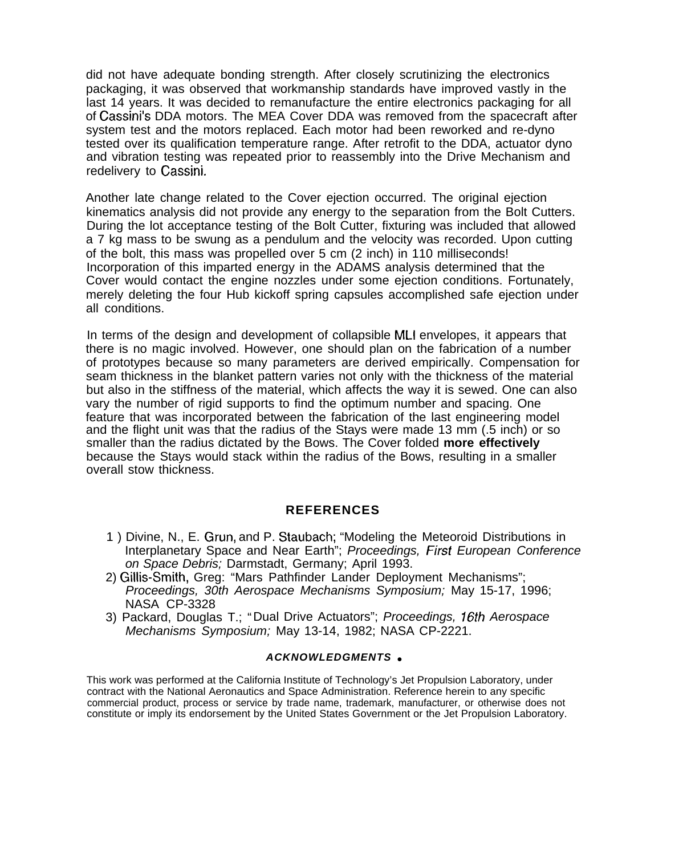did not have adequate bonding strength. After closely scrutinizing the electronics packaging, it was observed that workmanship standards have improved vastly in the last 14 years. It was decided to remanufacture the entire electronics packaging for all of Cassini's DDA motors. The MEA Cover DDA was removed from the spacecraft after system test and the motors replaced. Each motor had been reworked and re-dyno tested over its qualification temperature range. After retrofit to the DDA, actuator dyno and vibration testing was repeated prior to reassembly into the Drive Mechanism and redelivery to Cassini.

Another late change related to the Cover ejection occurred. The original ejection kinematics analysis did not provide any energy to the separation from the Bolt Cutters. During the lot acceptance testing of the Bolt Cutter, fixturing was included that allowed a 7 kg mass to be swung as a pendulum and the velocity was recorded. Upon cutting of the bolt, this mass was propelled over 5 cm (2 inch) in 110 milliseconds! Incorporation of this imparted energy in the ADAMS analysis determined that the Cover would contact the engine nozzles under some ejection conditions. Fortunately, merely deleting the four Hub kickoff spring capsules accomplished safe ejection under all conditions.

In terms of the design and development of collapsible MLI envelopes, it appears that there is no magic involved. However, one should plan on the fabrication of a number of prototypes because so many parameters are derived empirically. Compensation for seam thickness in the blanket pattern varies not only with the thickness of the material but also in the stiffness of the material, which affects the way it is sewed. One can also vary the number of rigid supports to find the optimum number and spacing. One feature that was incorporated between the fabrication of the last engineering model and the flight unit was that the radius of the Stays were made 13 mm (.5 inch) or so smaller than the radius dictated by the Bows. The Cover folded **more effectively** because the Stays would stack within the radius of the Bows, resulting in a smaller overall stow thickness.

#### **REFERENCES**

- 1 ) Divine, N., E. Grun, and P. Staubach; "Modeling the Meteoroid Distributions in Interplanetary Space and Near Earth"; Proceedings, First European Conference on Space Debris; Darmstadt, Germany; April 1993.
- 2) Gillis-Smith, Greg: "Mars Pathfinder Lander Deployment Mechanisms"; Proceedings, 30th Aerospace Mechanisms Symposium; May 15-17, 1996; NASA CP-3328
- 3) Packard, Douglas T.; "Dual Drive Actuators"; Proceedings, 16th Aerospace Mechanisms Symposium; May 13-14, 1982; NASA CP-2221.

#### **ACKNOWLEDGMENTS .**

This work was performed at the California Institute of Technology's Jet Propulsion Laboratory, under contract with the National Aeronautics and Space Administration. Reference herein to any specific commercial product, process or service by trade name, trademark, manufacturer, or otherwise does not constitute or imply its endorsement by the United States Government or the Jet Propulsion Laboratory.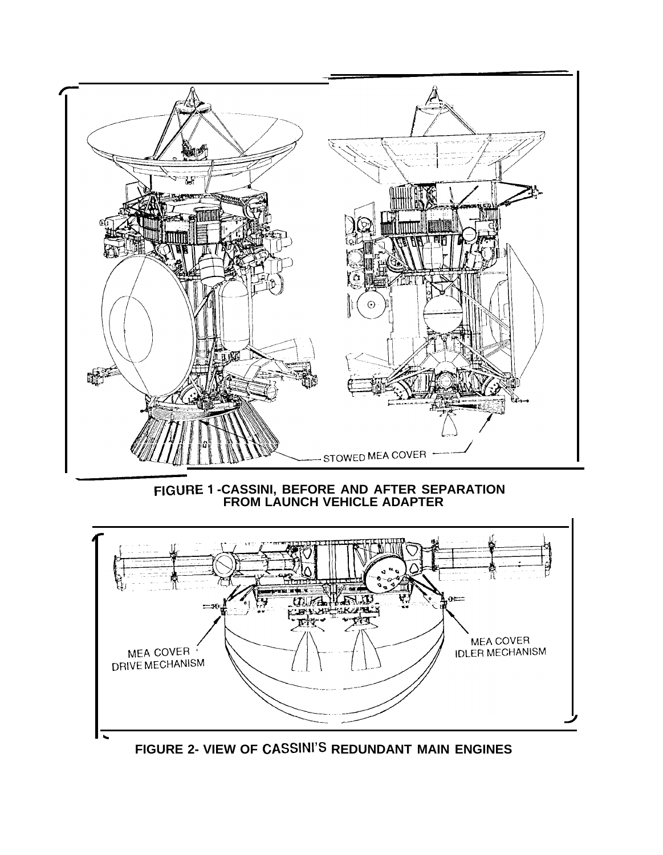

FIGURE 1 -CASSINI, BEFORE AND AFTER SEPARATION<br>FROM LAUNCH VEHICLE ADAPTER



FIGURE 2- VIEW OF CASSINI'S REDUNDANT MAIN ENGINES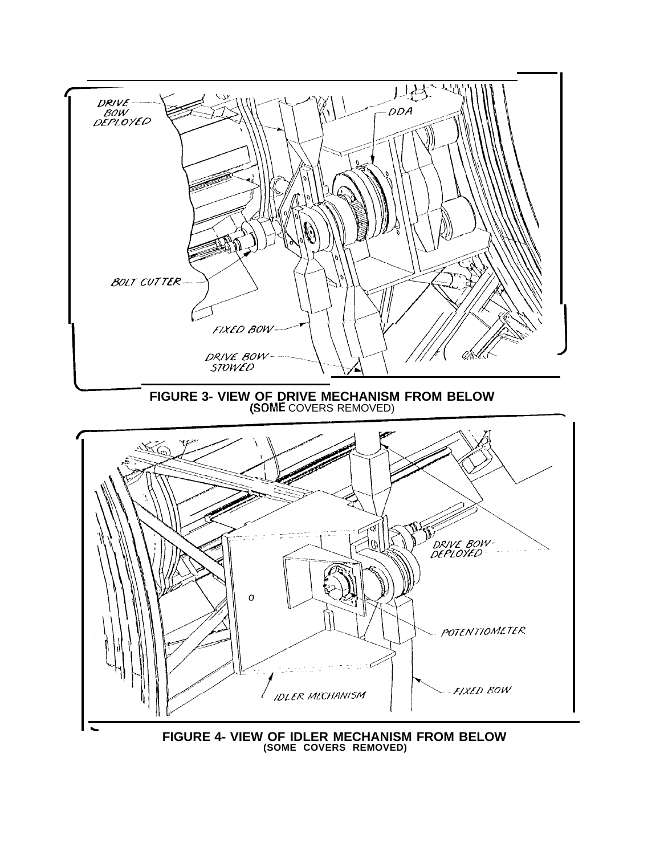

FIGURE 4- VIEW OF IDLER MECHANISM FROM BELOW (SOME COVERS REMOVED)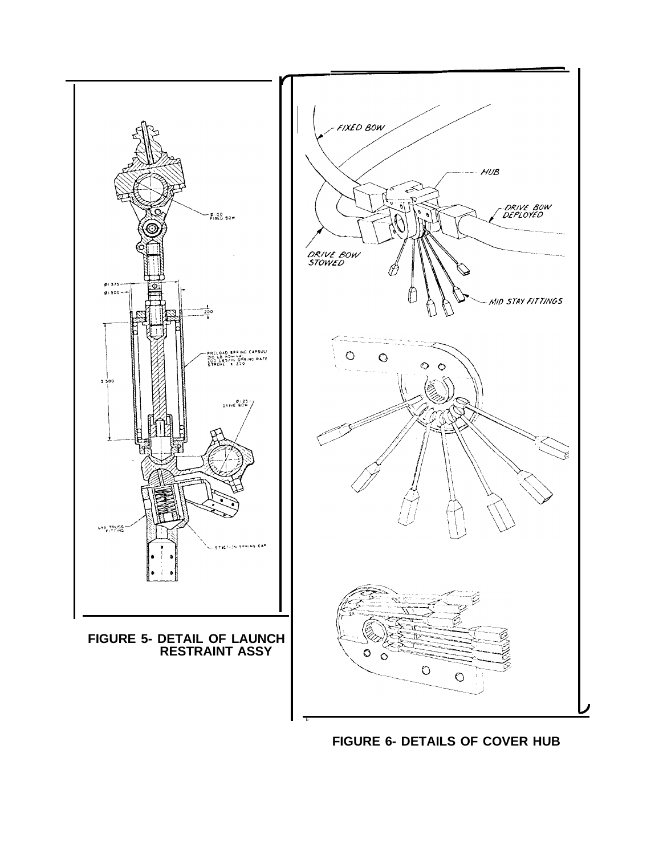

**FIGURE 6- DETAILS OF COVER HUB**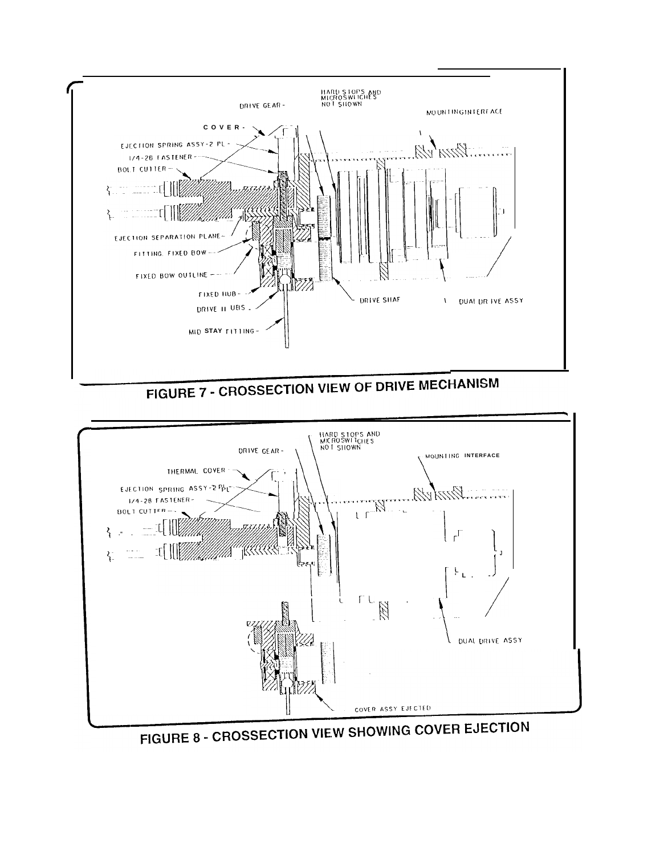



FIGURE 7 - CROSSECTION VIEW OF DRIVE MECHANISM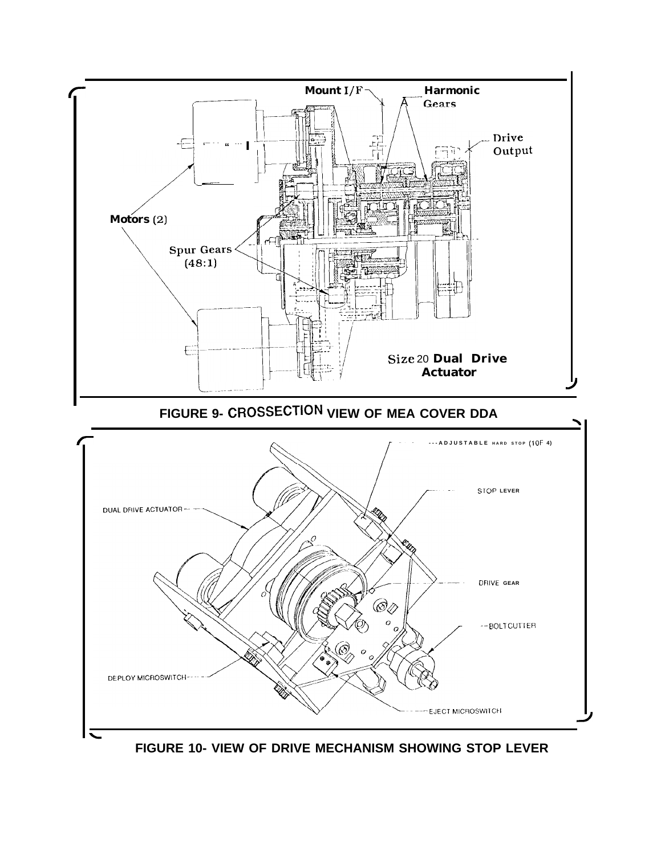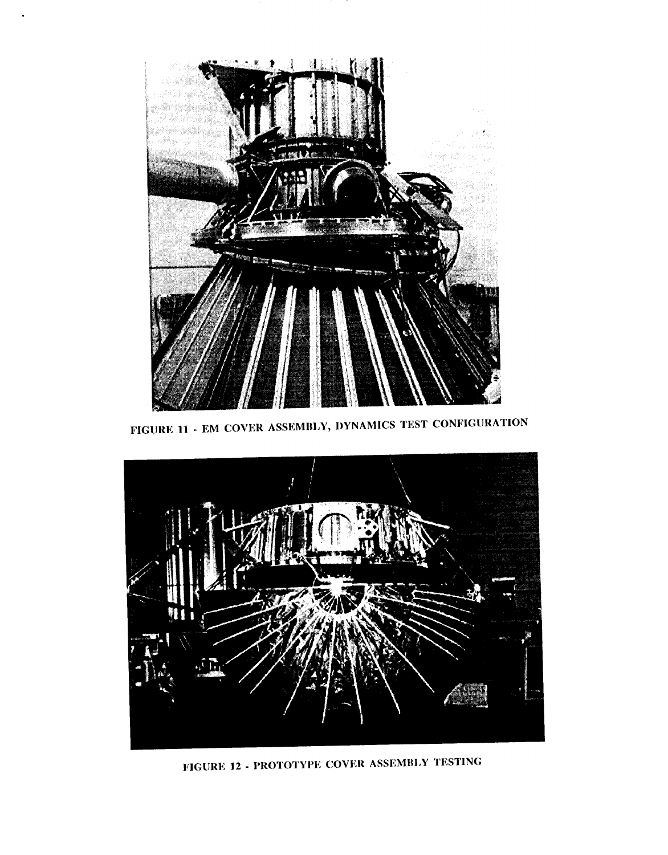

FIGURE 11 - EM COVER ASSEMBLY, DYNAMICS TEST CONFIGURATION



FIGURE 12 - PROTOTYPE COVER ASSEMBLY TESTING